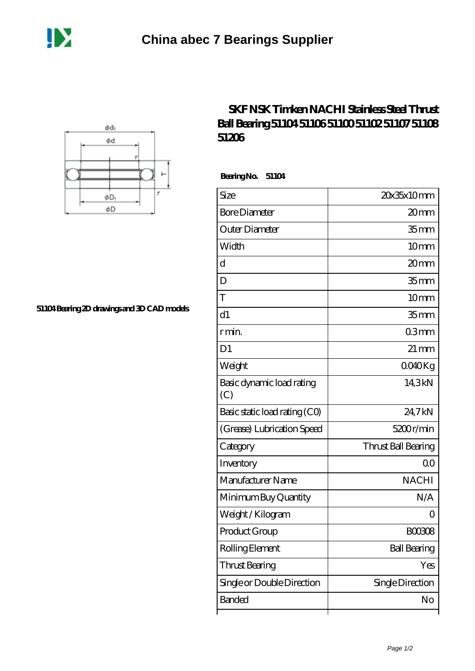



**[51104 Bearing 2D drawings and 3D CAD models](https://m.dannysguitarshop.tv/pic-807649.html)**

## **[SKF NSK Timken NACHI Stainless Steel Thrust](https://m.dannysguitarshop.tv/skf-51106-bearing/nachi-51104/) [Ball Bearing 51104 51106 51100 51102 51107 51108](https://m.dannysguitarshop.tv/skf-51106-bearing/nachi-51104/) [51206](https://m.dannysguitarshop.tv/skf-51106-bearing/nachi-51104/)**

 **Bearing No. 51104**

| Size                             | 20x35x10mm          |
|----------------------------------|---------------------|
| <b>Bore Diameter</b>             | 20 <sub>mm</sub>    |
| Outer Diameter                   | 35 <sub>mm</sub>    |
| Width                            | 10mm                |
| d                                | 20 <sub>mm</sub>    |
| D                                | 35 <sub>mm</sub>    |
| T                                | 10mm                |
| d1                               | 35 <sub>mm</sub>    |
| r min.                           | 03mm                |
| D <sub>1</sub>                   | $21 \text{ mm}$     |
| Weight                           | 0040Kg              |
| Basic dynamic load rating<br>(C) | 14,3kN              |
| Basic static load rating (CO)    | 24,7kN              |
| (Grease) Lubrication Speed       | 5200r/min           |
| Category                         | Thrust Ball Bearing |
| Inventory                        | 0 <sub>0</sub>      |
| Manufacturer Name                | <b>NACHI</b>        |
| Minimum Buy Quantity             | N/A                 |
| Weight/Kilogram                  | ( )                 |
| Product Group                    | <b>BOO308</b>       |
| Rolling Element                  | <b>Ball Bearing</b> |
| Thrust Bearing                   | Yes                 |
| Single or Double Direction       | Single Direction    |
| <b>Banded</b>                    | No                  |
|                                  |                     |